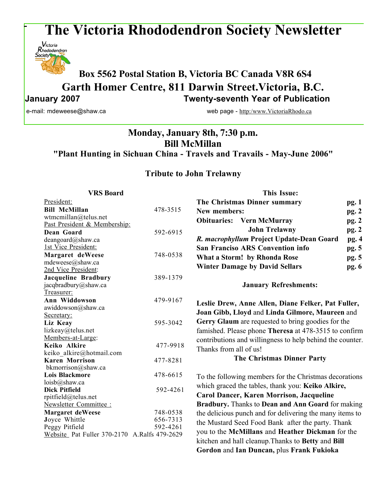# **The Victoria Rhododendron Society Newsletter**



# **Box 5562 Postal Station B, Victoria BC Canada V8R 6S4 Garth Homer Centre, 811 Darwin Street.Victoria, B.C. January 2007 Twenty-seventh Year of Publication**

e-mail: mdeweese@shaw.ca web page - http:/www.VictoriaRhodo.ca

## **Monday, January 8th, 7:30 p.m. Bill McMillan "Plant Hunting in Sichuan China - Travels and Travails - May-June 2006"**

## **Tribute to John Trelawny**

| <b>VRS</b> Board                             |                      | <b>This Issue:</b>                                        |       |
|----------------------------------------------|----------------------|-----------------------------------------------------------|-------|
| President:                                   |                      | The Christmas Dinner summary                              | pg. 1 |
| <b>Bill McMillan</b>                         | 478-3515             | New members:                                              | pg.2  |
| wtmcmillan@telus.net                         |                      | <b>Obituaries:</b> Vern McMurray                          | pg. 2 |
| Past President & Membership:                 |                      |                                                           |       |
| Dean Goard                                   | 592-6915             | <b>John Trelawny</b>                                      | pg. 2 |
| deangoard@shaw.ca                            |                      | R. macrophyllum Project Update-Dean Goard                 | pg. 4 |
| 1st Vice President:                          |                      | <b>San Franciso ARS Convention info</b>                   | pg. 5 |
| Margaret deWeese                             | 748-0538             | What a Storm! by Rhonda Rose                              | pg. 5 |
| mdeweese@shaw.ca                             |                      | <b>Winter Damage by David Sellars</b>                     | pg. 6 |
| 2nd Vice President:                          |                      |                                                           |       |
| Jacqueline Bradbury                          | 389-1379             |                                                           |       |
| jacqbradbury@shaw.ca                         |                      | <b>January Refreshments:</b>                              |       |
| Treasurer:<br>Ann Widdowson                  | 479-9167             |                                                           |       |
| awiddowson@shaw.ca                           |                      | Leslie Drew, Anne Allen, Diane Felker, Pat Fuller,        |       |
| Secretary:                                   |                      | Joan Gibb, Lloyd and Linda Gilmore, Maureen and           |       |
| Liz Keay                                     | 595-3042             | Gerry Glaum are requested to bring goodies for the        |       |
| lizkeay@telus.net                            |                      | famished. Please phone Theresa at 478-3515 to confirm     |       |
| Members-at-Large:                            |                      | contributions and willingness to help behind the counter. |       |
| Keiko Alkire                                 | 477-9918             |                                                           |       |
| keiko alkire@hotmail.com                     |                      | Thanks from all of us!                                    |       |
| <b>Karen Morrison</b>                        | 477-8281             | <b>The Christmas Dinner Party</b>                         |       |
| bkmorrison@shaw.ca                           |                      |                                                           |       |
| <b>Lois Blackmore</b>                        | 478-6615             | To the following members for the Christmas decorations    |       |
| loisb@shaw.ca                                |                      | which graced the tables, thank you: Keiko Alkire,         |       |
| <b>Dick Pitfield</b>                         | 592-4261             | <b>Carol Dancer, Karen Morrison, Jacqueline</b>           |       |
| rpitfield@telus.net                          |                      |                                                           |       |
| Newsletter Committee:                        |                      | Bradbury. Thanks to Dean and Ann Goard for making         |       |
| <b>Margaret deWeese</b>                      | 748-0538             | the delicious punch and for delivering the many items to  |       |
| Joyce Whittle<br>Peggy Pitfield              | 656-7313<br>592-4261 | the Mustard Seed Food Bank after the party. Thank         |       |
| Website Pat Fuller 370-2170 A.Ralfs 479-2629 |                      | you to the McMillans and Heather Dickman for the          |       |
|                                              |                      | kitchen and hall cleanup. Thanks to Betty and Bill        |       |
|                                              |                      | Gordon and Ian Duncan, plus Frank Fukioka                 |       |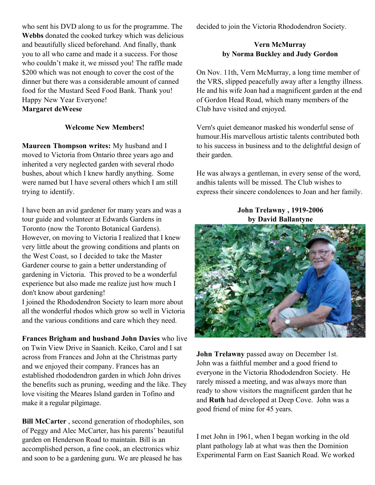who sent his DVD along to us for the programme. The **Webbs** donated the cooked turkey which was delicious and beautifully sliced beforehand. And finally, thank you to all who came and made it a success. For those who couldn't make it, we missed you! The raffle made \$200 which was not enough to cover the cost of the dinner but there was a considerable amount of canned food for the Mustard Seed Food Bank. Thank you! Happy New Year Everyone!

### **Margaret deWeese**

#### **Welcome New Members!**

**Maureen Thompson writes:** My husband and I moved to Victoria from Ontario three years ago and inherited a very neglected garden with several rhodo bushes, about which I knew hardly anything. Some were named but I have several others which I am still trying to identify.

I have been an avid gardener for many years and was a tour guide and volunteer at Edwards Gardens in Toronto (now the Toronto Botanical Gardens). However, on moving to Victoria I realized that I knew very little about the growing conditions and plants on the West Coast, so I decided to take the Master Gardener course to gain a better understanding of gardening in Victoria. This proved to be a wonderful experience but also made me realize just how much I don't know about gardening!

I joined the Rhododendron Society to learn more about all the wonderful rhodos which grow so well in Victoria and the various conditions and care which they need.

**Frances Brigham and husband John Davies** who live on Twin View Drive in Saanich. Keiko, Carol and I sat across from Frances and John at the Christmas party and we enjoyed their company. Frances has an established rhododendron garden in which John drives the benefits such as pruning, weeding and the like. They love visiting the Meares Island garden in Tofino and make it a regular pilgimage.

**Bill McCarter** , second generation of rhodophiles, son of Peggy and Alec McCarter, has his parents' beautiful garden on Henderson Road to maintain. Bill is an accomplished person, a fine cook, an electronics whiz and soon to be a gardening guru. We are pleased he has

decided to join the Victoria Rhododendron Society.

#### **Vern McMurray by Norma Buckley and Judy Gordon**

On Nov. 11th, Vern McMurray, a long time member of the VRS, slipped peacefully away after a lengthy illness. He and his wife Joan had a magnificent garden at the end of Gordon Head Road, which many members of the Club have visited and enjoyed.

Vern's quiet demeanor masked his wonderful sense of humour.His marvellous artistic talents contributed both to his success in business and to the delightful design of their garden.

He was always a gentleman, in every sense of the word, andhis talents will be missed. The Club wishes to express their sincere condolences to Joan and her family.

#### **John Trelawny , 1919-2006 by David Ballantyne**



**John Trelawny** passed away on December 1st. John was a faithful member and a good friend to everyone in the Victoria Rhododendron Society. He rarely missed a meeting, and was always more than ready to show visitors the magnificent garden that he and **Ruth** had developed at Deep Cove. John was a good friend of mine for 45 years.

I met John in 1961, when I began working in the old plant pathology lab at what was then the Dominion Experimental Farm on East Saanich Road. We worked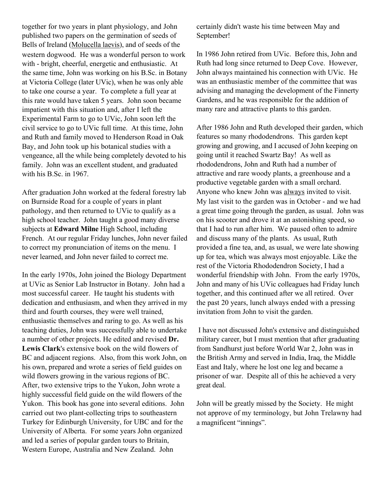together for two years in plant physiology, and John published two papers on the germination of seeds of Bells of Ireland (Molucella laevis), and of seeds of the western dogwood. He was a wonderful person to work with - bright, cheerful, energetic and enthusiastic. At the same time, John was working on his B.Sc. in Botany at Victoria College (later UVic), when he was only able to take one course a year. To complete a full year at this rate would have taken 5 years. John soon became impatient with this situation and, after I left the Experimental Farm to go to UVic, John soon left the civil service to go to UVic full time. At this time, John and Ruth and family moved to Henderson Road in Oak Bay, and John took up his botanical studies with a vengeance, all the while being completely devoted to his family. John was an excellent student, and graduated with his B.Sc. in 1967.

After graduation John worked at the federal forestry lab on Burnside Road for a couple of years in plant pathology, and then returned to UVic to qualify as a high school teacher. John taught a good many diverse subjects at **Edward Milne** High School, including French. At our regular Friday lunches, John never failed to correct my pronunciation of items on the menu. I never learned, and John never failed to correct me.

In the early 1970s, John joined the Biology Department at UVic as Senior Lab Instructor in Botany. John had a most successful career. He taught his students with dedication and enthusiasm, and when they arrived in my third and fourth courses, they were well trained, enthusiastic themselves and raring to go. As well as his teaching duties, John was successfully able to undertake a number of other projects. He edited and revised **Dr. Lewis Clark**'s extensive book on the wild flowers of BC and adjacent regions. Also, from this work John, on his own, prepared and wrote a series of field guides on wild flowers growing in the various regions of BC. After, two extensive trips to the Yukon, John wrote a highly successful field guide on the wild flowers of the Yukon. This book has gone into several editions. John carried out two plant-collecting trips to southeastern Turkey for Edinburgh University, for UBC and for the University of Alberta. For some years John organized and led a series of popular garden tours to Britain, Western Europe, Australia and New Zealand. John

certainly didn't waste his time between May and September!

In 1986 John retired from UVic. Before this, John and Ruth had long since returned to Deep Cove. However, John always maintained his connection with UVic. He was an enthusiastic member of the committee that was advising and managing the development of the Finnerty Gardens, and he was responsible for the addition of many rare and attractive plants to this garden.

After 1986 John and Ruth developed their garden, which features so many rhododendrons. This garden kept growing and growing, and I accused of John keeping on going until it reached Swartz Bay! As well as rhododendrons, John and Ruth had a number of attractive and rare woody plants, a greenhouse and a productive vegetable garden with a small orchard. Anyone who knew John was always invited to visit. My last visit to the garden was in October - and we had a great time going through the garden, as usual. John was on his scooter and drove it at an astonishing speed, so that I had to run after him. We paused often to admire and discuss many of the plants. As usual, Ruth provided a fine tea, and, as usual, we were late showing up for tea, which was always most enjoyable. Like the rest of the Victoria Rhododendron Society, I had a wonderful friendship with John. From the early 1970s, John and many of his UVic colleagues had Friday lunch together, and this continued after we all retired. Over the past 20 years, lunch always ended with a pressing invitation from John to visit the garden.

 I have not discussed John's extensive and distinguished military career, but I must mention that after graduating from Sandhurst just before World War 2, John was in the British Army and served in India, Iraq, the Middle East and Italy, where he lost one leg and became a prisoner of war. Despite all of this he achieved a very great deal.

John will be greatly missed by the Society. He might not approve of my terminology, but John Trelawny had a magnificent "innings".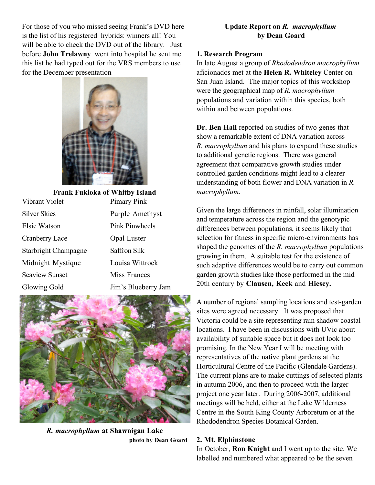For those of you who missed seeing Frank's DVD here is the list of his registered hybrids: winners all! You will be able to check the DVD out of the library. Just before **John Trelawny** went into hospital he sent me this list he had typed out for the VRS members to use for the December presentation



| <b>Frank Fukioka of Whitby Island</b> |                     |  |  |
|---------------------------------------|---------------------|--|--|
| Vibrant Violet                        | Pimary Pink         |  |  |
| <b>Silver Skies</b>                   | Purple Amethyst     |  |  |
| Elsie Watson                          | Pink Pinwheels      |  |  |
| Cranberry Lace                        | Opal Luster         |  |  |
| <b>Starbright Champagne</b>           | <b>Saffron Silk</b> |  |  |
| Midnight Mystique                     | Louisa Wittrock     |  |  |
| <b>Seaview Sunset</b>                 | Miss Frances        |  |  |
| Glowing Gold                          | Jim's Blueberry Jam |  |  |
|                                       |                     |  |  |



*R. macrophyllum* **at Shawnigan Lake photo by Dean Goard**

#### **Update Report on** *R. macrophyllum*  **by Dean Goard**

#### **1. Research Program**

In late August a group of *Rhododendron macrophyllum* aficionados met at the **Helen R. Whiteley** Center on San Juan Island. The major topics of this workshop were the geographical map of *R. macrophyllum* populations and variation within this species, both within and between populations.

**Dr. Ben Hall** reported on studies of two genes that show a remarkable extent of DNA variation across *R. macrophyllum* and his plans to expand these studies to additional genetic regions. There was general agreement that comparative growth studies under controlled garden conditions might lead to a clearer understanding of both flower and DNA variation in *R. macrophyllum*.

Given the large differences in rainfall, solar illumination and temperature across the region and the genotypic differences between populations, it seems likely that selection for fitness in specific micro-environments has shaped the genomes of the *R. macrophyllum* populations growing in them. A suitable test for the existence of such adaptive differences would be to carry out common garden growth studies like those performed in the mid 20th century by **Clausen, Keck** and **Hiesey.**

A number of regional sampling locations and test-garden sites were agreed necessary. It was proposed that Victoria could be a site representing rain shadow coastal locations. I have been in discussions with UVic about availability of suitable space but it does not look too promising. In the New Year I will be meeting with representatives of the native plant gardens at the Horticultural Centre of the Pacific (Glendale Gardens). The current plans are to make cuttings of selected plants in autumn 2006, and then to proceed with the larger project one year later. During 2006-2007, additional meetings will be held, either at the Lake Wilderness Centre in the South King County Arboretum or at the Rhododendron Species Botanical Garden.

#### **2. Mt. Elphinstone**

In October, **Ron Knight** and I went up to the site. We labelled and numbered what appeared to be the seven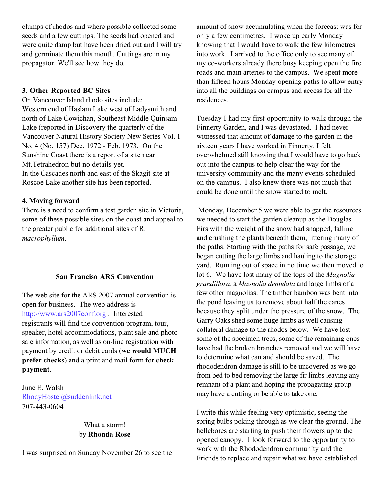clumps of rhodos and where possible collected some seeds and a few cuttings. The seeds had opened and were quite damp but have been dried out and I will try and germinate them this month. Cuttings are in my propagator. We'll see how they do.

#### **3. Other Reported BC Sites**

On Vancouver Island rhodo sites include: Western end of Haslam Lake west of Ladysmith and north of Lake Cowichan, Southeast Middle Quinsam Lake (reported in Discovery the quarterly of the Vancouver Natural History Society New Series Vol. 1 No. 4 (No. 157) Dec. 1972 - Feb. 1973. On the Sunshine Coast there is a report of a site near Mt.Tetrahedron but no details yet. In the Cascades north and east of the Skagit site at Roscoe Lake another site has been reported.

#### **4. Moving forward**

There is a need to confirm a test garden site in Victoria, some of these possible sites on the coast and appeal to the greater public for additional sites of R. *macrophyllum*.

#### **San Franciso ARS Convention**

The web site for the ARS 2007 annual convention is open for business. The web address is http://www.ars2007conf.org . Interested registrants will find the convention program, tour, speaker, hotel accommodations, plant sale and photo sale information, as well as on-line registration with payment by credit or debit cards (**we would MUCH prefer checks**) and a print and mail form for **check payment**.

June E. Walsh RhodyHostel@suddenlink.net 707-443-0604

#### What a storm! by **Rhonda Rose**

I was surprised on Sunday November 26 to see the

amount of snow accumulating when the forecast was for only a few centimetres. I woke up early Monday knowing that I would have to walk the few kilometres into work. I arrived to the office only to see many of my co-workers already there busy keeping open the fire roads and main arteries to the campus. We spent more than fifteen hours Monday opening paths to allow entry into all the buildings on campus and access for all the residences.

Tuesday I had my first opportunity to walk through the Finnerty Garden, and I was devastated. I had never witnessed that amount of damage to the garden in the sixteen years I have worked in Finnerty. I felt overwhelmed still knowing that I would have to go back out into the campus to help clear the way for the university community and the many events scheduled on the campus. I also knew there was not much that could be done until the snow started to melt.

 Monday, December 5 we were able to get the resources we needed to start the garden cleanup as the Douglas Firs with the weight of the snow had snapped, falling and crushing the plants beneath them, littering many of the paths. Starting with the paths for safe passage, we began cutting the large limbs and hauling to the storage yard. Running out of space in no time we then moved to lot 6. We have lost many of the tops of the *Magnolia grandiflora,* a *Magnolia denudata* and large limbs of a few other magnolias. The timber bamboo was bent into the pond leaving us to remove about half the canes because they split under the pressure of the snow. The Garry Oaks shed some huge limbs as well causing collateral damage to the rhodos below. We have lost some of the specimen trees, some of the remaining ones have had the broken branches removed and we will have to determine what can and should be saved. The rhododendron damage is still to be uncovered as we go from bed to bed removing the large fir limbs leaving any remnant of a plant and hoping the propagating group may have a cutting or be able to take one.

I write this while feeling very optimistic, seeing the spring bulbs poking through as we clear the ground. The hellebores are starting to push their flowers up to the opened canopy. I look forward to the opportunity to work with the Rhododendron community and the Friends to replace and repair what we have established